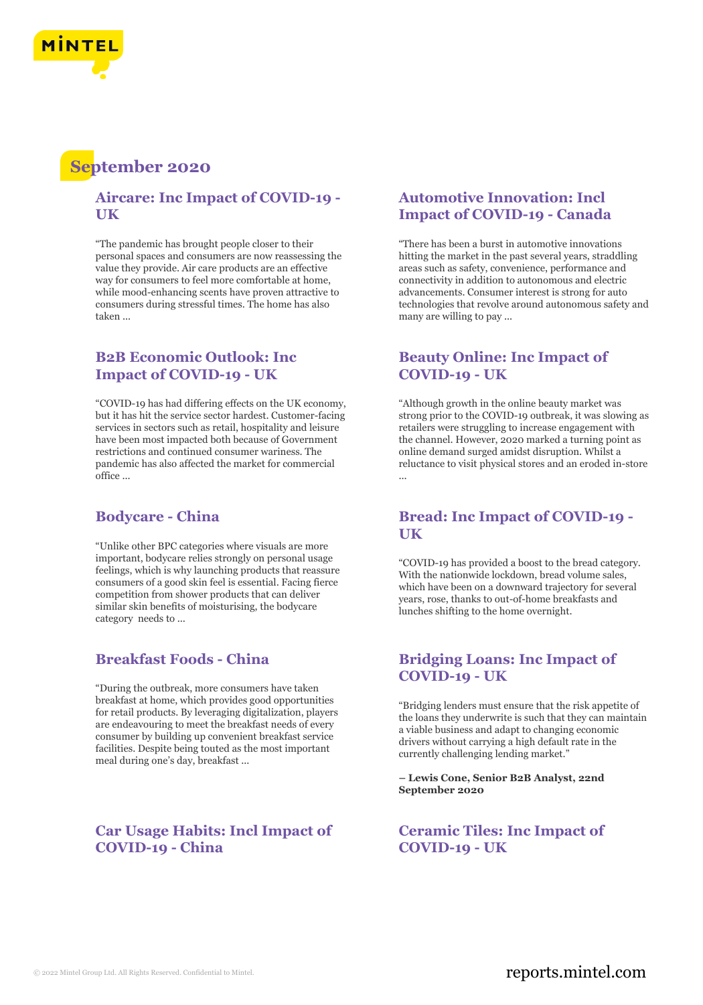

# **September 2020**

#### **Aircare: Inc Impact of COVID-19 - UK**

"The pandemic has brought people closer to their personal spaces and consumers are now reassessing the value they provide. Air care products are an effective way for consumers to feel more comfortable at home, while mood-enhancing scents have proven attractive to consumers during stressful times. The home has also taken ...

# **B2B Economic Outlook: Inc Impact of COVID-19 - UK**

"COVID-19 has had differing effects on the UK economy, but it has hit the service sector hardest. Customer-facing services in sectors such as retail, hospitality and leisure have been most impacted both because of Government restrictions and continued consumer wariness. The pandemic has also affected the market for commercial office ...

# **Bodycare - China**

"Unlike other BPC categories where visuals are more important, bodycare relies strongly on personal usage feelings, which is why launching products that reassure consumers of a good skin feel is essential. Facing fierce competition from shower products that can deliver similar skin benefits of moisturising, the bodycare category needs to ...

#### **Breakfast Foods - China**

"During the outbreak, more consumers have taken breakfast at home, which provides good opportunities for retail products. By leveraging digitalization, players are endeavouring to meet the breakfast needs of every consumer by building up convenient breakfast service facilities. Despite being touted as the most important meal during one's day, breakfast ...

# **Car Usage Habits: Incl Impact of COVID-19 - China**

# **Automotive Innovation: Incl Impact of COVID-19 - Canada**

"There has been a burst in automotive innovations hitting the market in the past several years, straddling areas such as safety, convenience, performance and connectivity in addition to autonomous and electric advancements. Consumer interest is strong for auto technologies that revolve around autonomous safety and many are willing to pay ...

#### **Beauty Online: Inc Impact of COVID-19 - UK**

"Although growth in the online beauty market was strong prior to the COVID-19 outbreak, it was slowing as retailers were struggling to increase engagement with the channel. However, 2020 marked a turning point as online demand surged amidst disruption. Whilst a reluctance to visit physical stores and an eroded in-store ...

#### **Bread: Inc Impact of COVID-19 - UK**

"COVID-19 has provided a boost to the bread category. With the nationwide lockdown, bread volume sales, which have been on a downward trajectory for several years, rose, thanks to out-of-home breakfasts and lunches shifting to the home overnight.

# **Bridging Loans: Inc Impact of COVID-19 - UK**

"Bridging lenders must ensure that the risk appetite of the loans they underwrite is such that they can maintain a viable business and adapt to changing economic drivers without carrying a high default rate in the currently challenging lending market."

**– Lewis Cone, Senior B2B Analyst, 22nd September 2020**

**Ceramic Tiles: Inc Impact of COVID-19 - UK**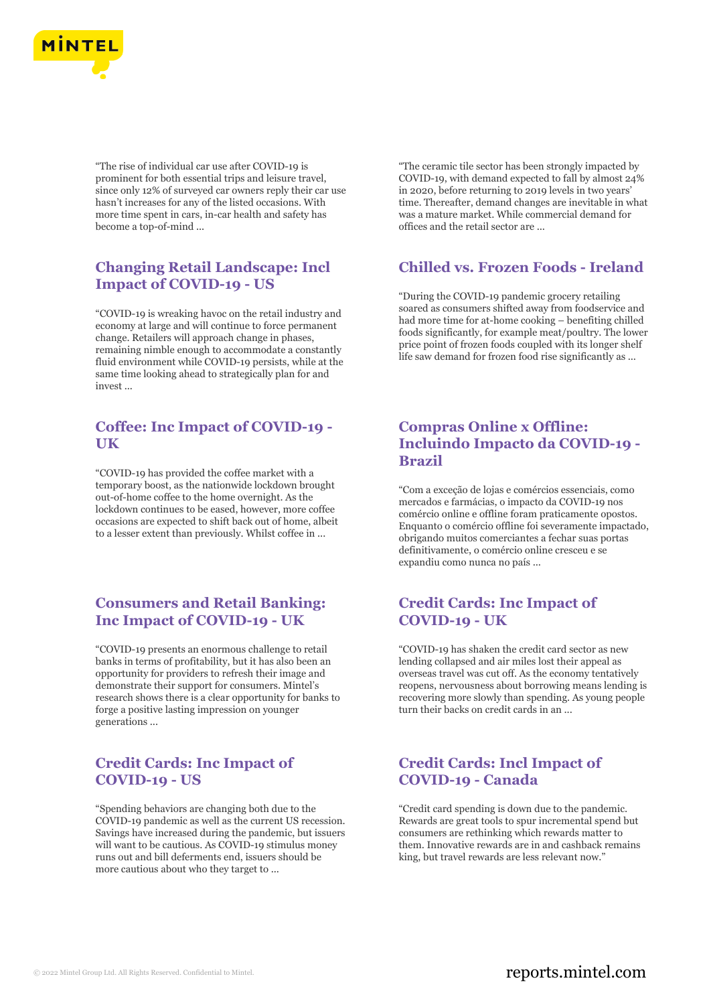

"The rise of individual car use after COVID-19 is prominent for both essential trips and leisure travel, since only 12% of surveyed car owners reply their car use hasn't increases for any of the listed occasions. With more time spent in cars, in-car health and safety has become a top-of-mind ...

# **Changing Retail Landscape: Incl Impact of COVID-19 - US**

"COVID-19 is wreaking havoc on the retail industry and economy at large and will continue to force permanent change. Retailers will approach change in phases, remaining nimble enough to accommodate a constantly fluid environment while COVID-19 persists, while at the same time looking ahead to strategically plan for and invest ...

# **Coffee: Inc Impact of COVID-19 - UK**

"COVID-19 has provided the coffee market with a temporary boost, as the nationwide lockdown brought out-of-home coffee to the home overnight. As the lockdown continues to be eased, however, more coffee occasions are expected to shift back out of home, albeit to a lesser extent than previously. Whilst coffee in ...

# **Consumers and Retail Banking: Inc Impact of COVID-19 - UK**

"COVID-19 presents an enormous challenge to retail banks in terms of profitability, but it has also been an opportunity for providers to refresh their image and demonstrate their support for consumers. Mintel's research shows there is a clear opportunity for banks to forge a positive lasting impression on younger generations ...

# **Credit Cards: Inc Impact of COVID-19 - US**

"Spending behaviors are changing both due to the COVID-19 pandemic as well as the current US recession. Savings have increased during the pandemic, but issuers will want to be cautious. As COVID-19 stimulus money runs out and bill deferments end, issuers should be more cautious about who they target to ...

"The ceramic tile sector has been strongly impacted by COVID-19, with demand expected to fall by almost 24% in 2020, before returning to 2019 levels in two years' time. Thereafter, demand changes are inevitable in what was a mature market. While commercial demand for offices and the retail sector are ...

#### **Chilled vs. Frozen Foods - Ireland**

"During the COVID-19 pandemic grocery retailing soared as consumers shifted away from foodservice and had more time for at-home cooking – benefiting chilled foods significantly, for example meat/poultry. The lower price point of frozen foods coupled with its longer shelf life saw demand for frozen food rise significantly as ...

# **Compras Online x Offline: Incluindo Impacto da COVID-19 - Brazil**

"Com a exceção de lojas e comércios essenciais, como mercados e farmácias, o impacto da COVID-19 nos comércio online e offline foram praticamente opostos. Enquanto o comércio offline foi severamente impactado, obrigando muitos comerciantes a fechar suas portas definitivamente, o comércio online cresceu e se expandiu como nunca no país ...

# **Credit Cards: Inc Impact of COVID-19 - UK**

"COVID-19 has shaken the credit card sector as new lending collapsed and air miles lost their appeal as overseas travel was cut off. As the economy tentatively reopens, nervousness about borrowing means lending is recovering more slowly than spending. As young people turn their backs on credit cards in an ...

# **Credit Cards: Incl Impact of COVID-19 - Canada**

"Credit card spending is down due to the pandemic. Rewards are great tools to spur incremental spend but consumers are rethinking which rewards matter to them. Innovative rewards are in and cashback remains king, but travel rewards are less relevant now."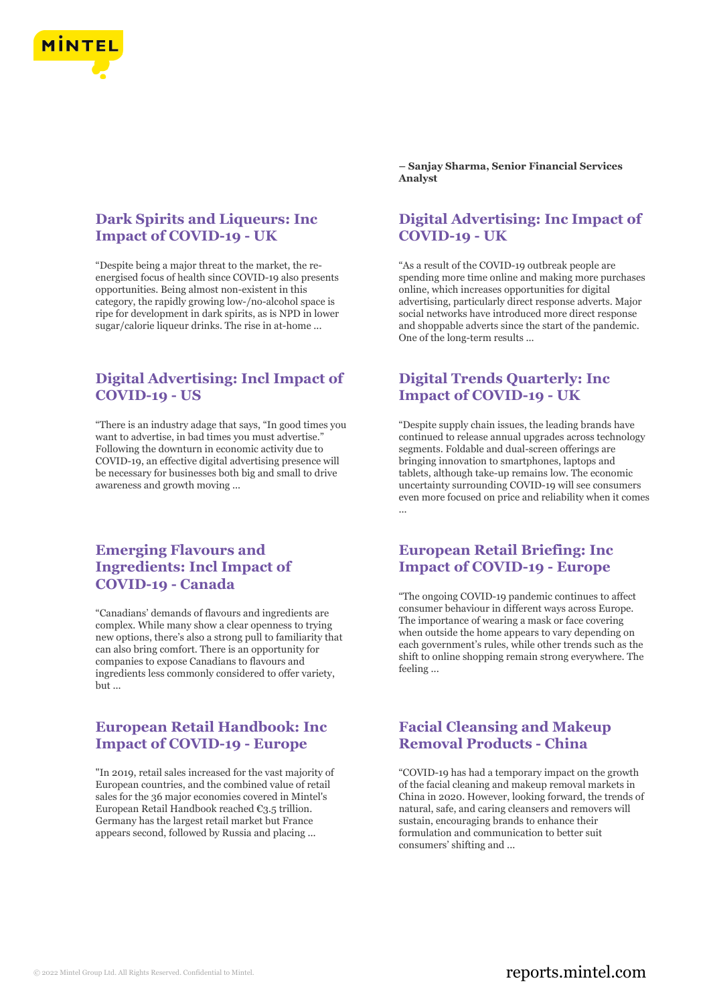

# **Dark Spirits and Liqueurs: Inc Impact of COVID-19 - UK**

"Despite being a major threat to the market, the reenergised focus of health since COVID-19 also presents opportunities. Being almost non-existent in this category, the rapidly growing low-/no-alcohol space is ripe for development in dark spirits, as is NPD in lower sugar/calorie liqueur drinks. The rise in at-home ...

# **Digital Advertising: Incl Impact of COVID-19 - US**

"There is an industry adage that says, "In good times you want to advertise, in bad times you must advertise." Following the downturn in economic activity due to COVID-19, an effective digital advertising presence will be necessary for businesses both big and small to drive awareness and growth moving ...

# **Emerging Flavours and Ingredients: Incl Impact of COVID-19 - Canada**

"Canadians' demands of flavours and ingredients are complex. While many show a clear openness to trying new options, there's also a strong pull to familiarity that can also bring comfort. There is an opportunity for companies to expose Canadians to flavours and ingredients less commonly considered to offer variety,  $but...$ 

#### **European Retail Handbook: Inc Impact of COVID-19 - Europe**

"In 2019, retail sales increased for the vast majority of European countries, and the combined value of retail sales for the 36 major economies covered in Mintel's European Retail Handbook reached €3.5 trillion. Germany has the largest retail market but France appears second, followed by Russia and placing ...

**– Sanjay Sharma, Senior Financial Services Analyst**

# **Digital Advertising: Inc Impact of COVID-19 - UK**

"As a result of the COVID-19 outbreak people are spending more time online and making more purchases online, which increases opportunities for digital advertising, particularly direct response adverts. Major social networks have introduced more direct response and shoppable adverts since the start of the pandemic. One of the long-term results ...

# **Digital Trends Quarterly: Inc Impact of COVID-19 - UK**

"Despite supply chain issues, the leading brands have continued to release annual upgrades across technology segments. Foldable and dual-screen offerings are bringing innovation to smartphones, laptops and tablets, although take-up remains low. The economic uncertainty surrounding COVID-19 will see consumers even more focused on price and reliability when it comes ...

# **European Retail Briefing: Inc Impact of COVID-19 - Europe**

"The ongoing COVID-19 pandemic continues to affect consumer behaviour in different ways across Europe. The importance of wearing a mask or face covering when outside the home appears to vary depending on each government's rules, while other trends such as the shift to online shopping remain strong everywhere. The feeling ...

### **Facial Cleansing and Makeup Removal Products - China**

"COVID-19 has had a temporary impact on the growth of the facial cleaning and makeup removal markets in China in 2020. However, looking forward, the trends of natural, safe, and caring cleansers and removers will sustain, encouraging brands to enhance their formulation and communication to better suit consumers' shifting and ...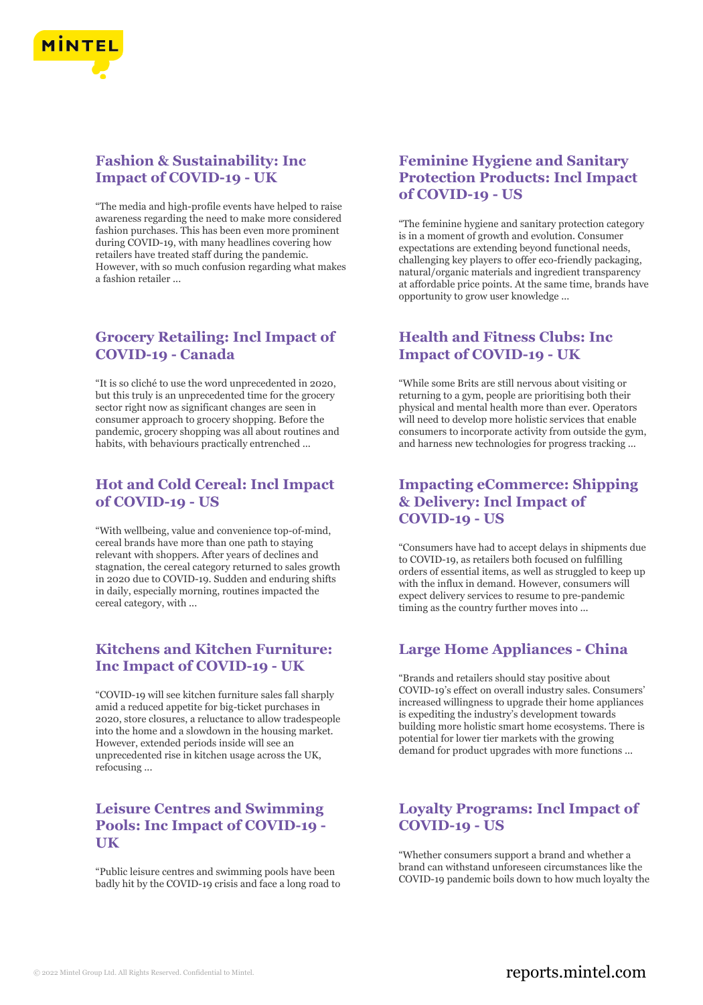

# **Fashion & Sustainability: Inc Impact of COVID-19 - UK**

"The media and high-profile events have helped to raise awareness regarding the need to make more considered fashion purchases. This has been even more prominent during COVID-19, with many headlines covering how retailers have treated staff during the pandemic. However, with so much confusion regarding what makes a fashion retailer ...

# **Grocery Retailing: Incl Impact of COVID-19 - Canada**

"It is so cliché to use the word unprecedented in 2020, but this truly is an unprecedented time for the grocery sector right now as significant changes are seen in consumer approach to grocery shopping. Before the pandemic, grocery shopping was all about routines and habits, with behaviours practically entrenched ...

# **Hot and Cold Cereal: Incl Impact of COVID-19 - US**

"With wellbeing, value and convenience top-of-mind, cereal brands have more than one path to staying relevant with shoppers. After years of declines and stagnation, the cereal category returned to sales growth in 2020 due to COVID-19. Sudden and enduring shifts in daily, especially morning, routines impacted the cereal category, with ...

### **Kitchens and Kitchen Furniture: Inc Impact of COVID-19 - UK**

"COVID-19 will see kitchen furniture sales fall sharply amid a reduced appetite for big-ticket purchases in 2020, store closures, a reluctance to allow tradespeople into the home and a slowdown in the housing market. However, extended periods inside will see an unprecedented rise in kitchen usage across the UK, refocusing ...

# **Leisure Centres and Swimming Pools: Inc Impact of COVID-19 - UK**

"Public leisure centres and swimming pools have been badly hit by the COVID-19 crisis and face a long road to

# **Feminine Hygiene and Sanitary Protection Products: Incl Impact of COVID-19 - US**

"The feminine hygiene and sanitary protection category is in a moment of growth and evolution. Consumer expectations are extending beyond functional needs, challenging key players to offer eco-friendly packaging, natural/organic materials and ingredient transparency at affordable price points. At the same time, brands have opportunity to grow user knowledge ...

# **Health and Fitness Clubs: Inc Impact of COVID-19 - UK**

"While some Brits are still nervous about visiting or returning to a gym, people are prioritising both their physical and mental health more than ever. Operators will need to develop more holistic services that enable consumers to incorporate activity from outside the gym, and harness new technologies for progress tracking ...

# **Impacting eCommerce: Shipping & Delivery: Incl Impact of COVID-19 - US**

"Consumers have had to accept delays in shipments due to COVID-19, as retailers both focused on fulfilling orders of essential items, as well as struggled to keep up with the influx in demand. However, consumers will expect delivery services to resume to pre-pandemic timing as the country further moves into ...

# **Large Home Appliances - China**

"Brands and retailers should stay positive about COVID-19's effect on overall industry sales. Consumers' increased willingness to upgrade their home appliances is expediting the industry's development towards building more holistic smart home ecosystems. There is potential for lower tier markets with the growing demand for product upgrades with more functions ...

# **Loyalty Programs: Incl Impact of COVID-19 - US**

"Whether consumers support a brand and whether a brand can withstand unforeseen circumstances like the COVID-19 pandemic boils down to how much loyalty the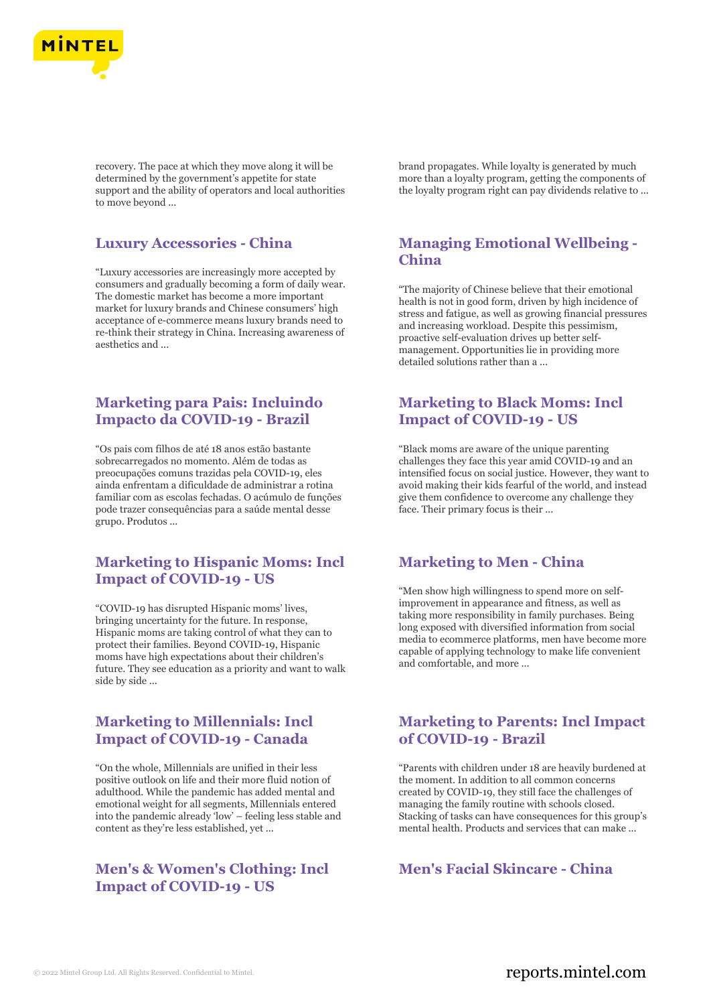

recovery. The pace at which they move along it will be determined by the government's appetite for state support and the ability of operators and local authorities to move beyond ...

# **Luxury Accessories - China**

"Luxury accessories are increasingly more accepted by consumers and gradually becoming a form of daily wear. The domestic market has become a more important market for luxury brands and Chinese consumers' high acceptance of e-commerce means luxury brands need to re-think their strategy in China. Increasing awareness of aesthetics and ...

# **Marketing para Pais: Incluindo Impacto da COVID-19 - Brazil**

"Os pais com filhos de até 18 anos estão bastante sobrecarregados no momento. Além de todas as preocupações comuns trazidas pela COVID-19, eles ainda enfrentam a dificuldade de administrar a rotina familiar com as escolas fechadas. O acúmulo de funções pode trazer consequências para a saúde mental desse grupo. Produtos ...

# **Marketing to Hispanic Moms: Incl Impact of COVID-19 - US**

"COVID-19 has disrupted Hispanic moms' lives, bringing uncertainty for the future. In response, Hispanic moms are taking control of what they can to protect their families. Beyond COVID-19, Hispanic moms have high expectations about their children's future. They see education as a priority and want to walk side by side ...

# **Marketing to Millennials: Incl Impact of COVID-19 - Canada**

"On the whole, Millennials are unified in their less positive outlook on life and their more fluid notion of adulthood. While the pandemic has added mental and emotional weight for all segments, Millennials entered into the pandemic already 'low' – feeling less stable and content as they're less established, yet ...

# **Men's & Women's Clothing: Incl Impact of COVID-19 - US**

brand propagates. While loyalty is generated by much more than a loyalty program, getting the components of the loyalty program right can pay dividends relative to ...

# **Managing Emotional Wellbeing - China**

"The majority of Chinese believe that their emotional health is not in good form, driven by high incidence of stress and fatigue, as well as growing financial pressures and increasing workload. Despite this pessimism, proactive self-evaluation drives up better selfmanagement. Opportunities lie in providing more detailed solutions rather than a ...

# **Marketing to Black Moms: Incl Impact of COVID-19 - US**

"Black moms are aware of the unique parenting challenges they face this year amid COVID-19 and an intensified focus on social justice. However, they want to avoid making their kids fearful of the world, and instead give them confidence to overcome any challenge they face. Their primary focus is their ...

# **Marketing to Men - China**

"Men show high willingness to spend more on selfimprovement in appearance and fitness, as well as taking more responsibility in family purchases. Being long exposed with diversified information from social media to ecommerce platforms, men have become more capable of applying technology to make life convenient and comfortable, and more ...

### **Marketing to Parents: Incl Impact of COVID-19 - Brazil**

"Parents with children under 18 are heavily burdened at the moment. In addition to all common concerns created by COVID-19, they still face the challenges of managing the family routine with schools closed. Stacking of tasks can have consequences for this group's mental health. Products and services that can make ...

# **Men's Facial Skincare - China**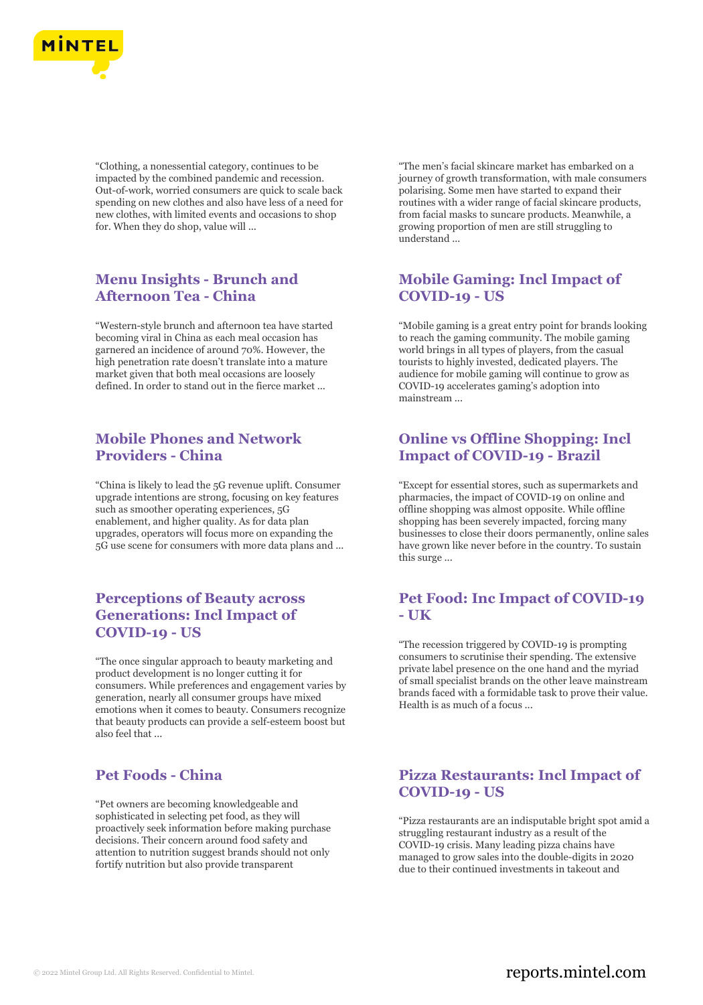

"Clothing, a nonessential category, continues to be impacted by the combined pandemic and recession. Out-of-work, worried consumers are quick to scale back spending on new clothes and also have less of a need for new clothes, with limited events and occasions to shop for. When they do shop, value will ...

# **Menu Insights - Brunch and Afternoon Tea - China**

"Western-style brunch and afternoon tea have started becoming viral in China as each meal occasion has garnered an incidence of around 70%. However, the high penetration rate doesn't translate into a mature market given that both meal occasions are loosely defined. In order to stand out in the fierce market ...

#### **Mobile Phones and Network Providers - China**

"China is likely to lead the 5G revenue uplift. Consumer upgrade intentions are strong, focusing on key features such as smoother operating experiences, 5G enablement, and higher quality. As for data plan upgrades, operators will focus more on expanding the 5G use scene for consumers with more data plans and ...

#### **Perceptions of Beauty across Generations: Incl Impact of COVID-19 - US**

"The once singular approach to beauty marketing and product development is no longer cutting it for consumers. While preferences and engagement varies by generation, nearly all consumer groups have mixed emotions when it comes to beauty. Consumers recognize that beauty products can provide a self-esteem boost but also feel that ...

# **Pet Foods - China**

"Pet owners are becoming knowledgeable and sophisticated in selecting pet food, as they will proactively seek information before making purchase decisions. Their concern around food safety and attention to nutrition suggest brands should not only fortify nutrition but also provide transparent

"The men's facial skincare market has embarked on a journey of growth transformation, with male consumers polarising. Some men have started to expand their routines with a wider range of facial skincare products, from facial masks to suncare products. Meanwhile, a growing proportion of men are still struggling to understand ...

# **Mobile Gaming: Incl Impact of COVID-19 - US**

"Mobile gaming is a great entry point for brands looking to reach the gaming community. The mobile gaming world brings in all types of players, from the casual tourists to highly invested, dedicated players. The audience for mobile gaming will continue to grow as COVID-19 accelerates gaming's adoption into mainstream ...

# **Online vs Offline Shopping: Incl Impact of COVID-19 - Brazil**

"Except for essential stores, such as supermarkets and pharmacies, the impact of COVID-19 on online and offline shopping was almost opposite. While offline shopping has been severely impacted, forcing many businesses to close their doors permanently, online sales have grown like never before in the country. To sustain this surge ...

# **Pet Food: Inc Impact of COVID-19 - UK**

"The recession triggered by COVID-19 is prompting consumers to scrutinise their spending. The extensive private label presence on the one hand and the myriad of small specialist brands on the other leave mainstream brands faced with a formidable task to prove their value. Health is as much of a focus ...

# **Pizza Restaurants: Incl Impact of COVID-19 - US**

"Pizza restaurants are an indisputable bright spot amid a struggling restaurant industry as a result of the COVID-19 crisis. Many leading pizza chains have managed to grow sales into the double-digits in 2020 due to their continued investments in takeout and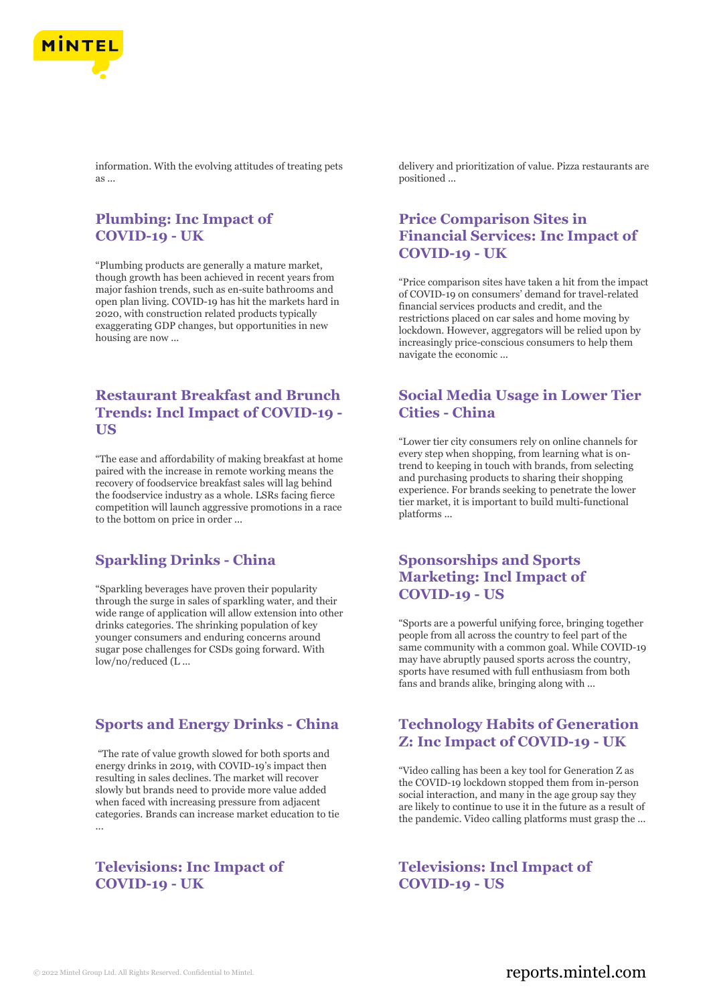

information. With the evolving attitudes of treating pets as ...

# **Plumbing: Inc Impact of COVID-19 - UK**

"Plumbing products are generally a mature market, though growth has been achieved in recent years from major fashion trends, such as en-suite bathrooms and open plan living. COVID-19 has hit the markets hard in 2020, with construction related products typically exaggerating GDP changes, but opportunities in new housing are now ...

#### **Restaurant Breakfast and Brunch Trends: Incl Impact of COVID-19 - US**

"The ease and affordability of making breakfast at home paired with the increase in remote working means the recovery of foodservice breakfast sales will lag behind the foodservice industry as a whole. LSRs facing fierce competition will launch aggressive promotions in a race to the bottom on price in order ...

#### **Sparkling Drinks - China**

"Sparkling beverages have proven their popularity through the surge in sales of sparkling water, and their wide range of application will allow extension into other drinks categories. The shrinking population of key younger consumers and enduring concerns around sugar pose challenges for CSDs going forward. With low/no/reduced (L ...

#### **Sports and Energy Drinks - China**

"The rate of value growth slowed for both sports and energy drinks in 2019, with COVID-19's impact then resulting in sales declines. The market will recover slowly but brands need to provide more value added when faced with increasing pressure from adjacent categories. Brands can increase market education to tie ...

# **Televisions: Inc Impact of COVID-19 - UK**

delivery and prioritization of value. Pizza restaurants are positioned ...

# **Price Comparison Sites in Financial Services: Inc Impact of COVID-19 - UK**

"Price comparison sites have taken a hit from the impact of COVID-19 on consumers' demand for travel-related financial services products and credit, and the restrictions placed on car sales and home moving by lockdown. However, aggregators will be relied upon by increasingly price-conscious consumers to help them navigate the economic ...

#### **Social Media Usage in Lower Tier Cities - China**

"Lower tier city consumers rely on online channels for every step when shopping, from learning what is ontrend to keeping in touch with brands, from selecting and purchasing products to sharing their shopping experience. For brands seeking to penetrate the lower tier market, it is important to build multi-functional platforms ...

# **Sponsorships and Sports Marketing: Incl Impact of COVID-19 - US**

"Sports are a powerful unifying force, bringing together people from all across the country to feel part of the same community with a common goal. While COVID-19 may have abruptly paused sports across the country, sports have resumed with full enthusiasm from both fans and brands alike, bringing along with ...

# **Technology Habits of Generation Z: Inc Impact of COVID-19 - UK**

"Video calling has been a key tool for Generation Z as the COVID-19 lockdown stopped them from in-person social interaction, and many in the age group say they are likely to continue to use it in the future as a result of the pandemic. Video calling platforms must grasp the ...

**Televisions: Incl Impact of COVID-19 - US**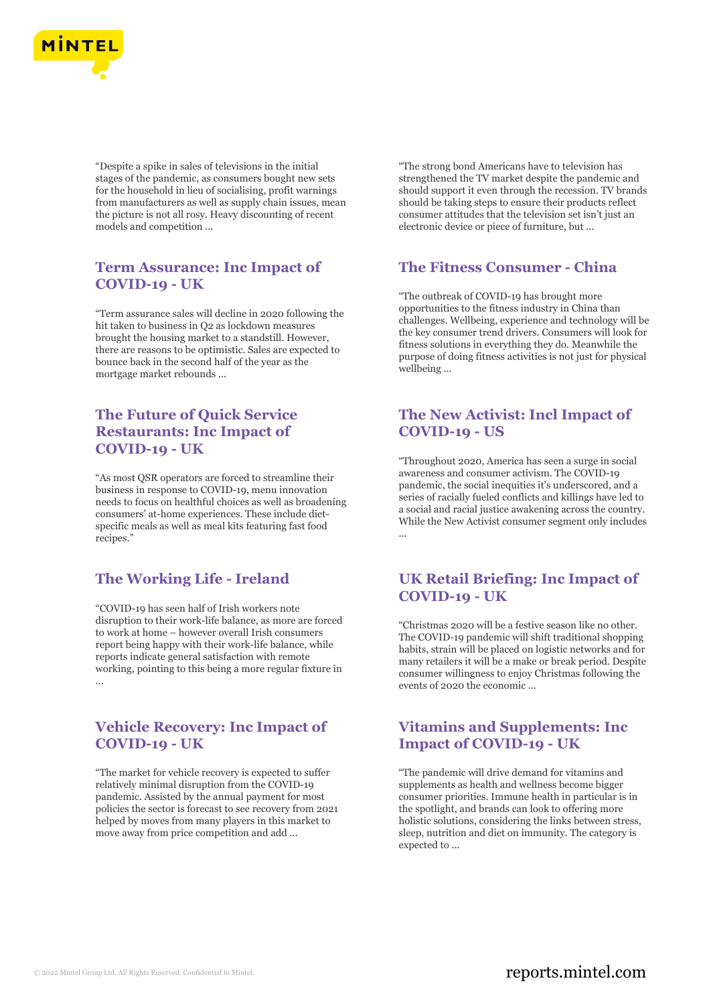

"Despite a spike in sales of televisions in the initial stages of the pandemic, as consumers bought new sets for the household in lieu of socialising, profit warnings from manufacturers as well as supply chain issues, mean the picture is not all rosy. Heavy discounting of recent models and competition ...

# **Term Assurance: Inc Impact of COVID-19 - UK**

"Term assurance sales will decline in 2020 following the hit taken to business in Q2 as lockdown measures brought the housing market to a standstill. However, there are reasons to be optimistic. Sales are expected to bounce back in the second half of the year as the mortgage market rebounds ...

# **The Future of Quick Service Restaurants: Inc Impact of COVID-19 - UK**

"As most QSR operators are forced to streamline their business in response to COVID-19, menu innovation needs to focus on healthful choices as well as broadening consumers' at-home experiences. These include dietspecific meals as well as meal kits featuring fast food recipes."

#### **The Working Life - Ireland**

"COVID-19 has seen half of Irish workers note disruption to their work-life balance, as more are forced to work at home – however overall Irish consumers report being happy with their work-life balance, while reports indicate general satisfaction with remote working, pointing to this being a more regular fixture in ...

#### **Vehicle Recovery: Inc Impact of COVID-19 - UK**

"The market for vehicle recovery is expected to suffer relatively minimal disruption from the COVID-19 pandemic. Assisted by the annual payment for most policies the sector is forecast to see recovery from 2021 helped by moves from many players in this market to move away from price competition and add ...

"The strong bond Americans have to television has strengthened the TV market despite the pandemic and should support it even through the recession. TV brands should be taking steps to ensure their products reflect consumer attitudes that the television set isn't just an electronic device or piece of furniture, but ...

#### **The Fitness Consumer - China**

"The outbreak of COVID-19 has brought more opportunities to the fitness industry in China than challenges. Wellbeing, experience and technology will be the key consumer trend drivers. Consumers will look for fitness solutions in everything they do. Meanwhile the purpose of doing fitness activities is not just for physical wellbeing ...

# **The New Activist: Incl Impact of COVID-19 - US**

"Throughout 2020, America has seen a surge in social awareness and consumer activism. The COVID-19 pandemic, the social inequities it's underscored, and a series of racially fueled conflicts and killings have led to a social and racial justice awakening across the country. While the New Activist consumer segment only includes ...

# **UK Retail Briefing: Inc Impact of COVID-19 - UK**

"Christmas 2020 will be a festive season like no other. The COVID-19 pandemic will shift traditional shopping habits, strain will be placed on logistic networks and for many retailers it will be a make or break period. Despite consumer willingness to enjoy Christmas following the events of 2020 the economic ...

#### **Vitamins and Supplements: Inc Impact of COVID-19 - UK**

"The pandemic will drive demand for vitamins and supplements as health and wellness become bigger consumer priorities. Immune health in particular is in the spotlight, and brands can look to offering more holistic solutions, considering the links between stress, sleep, nutrition and diet on immunity. The category is expected to ...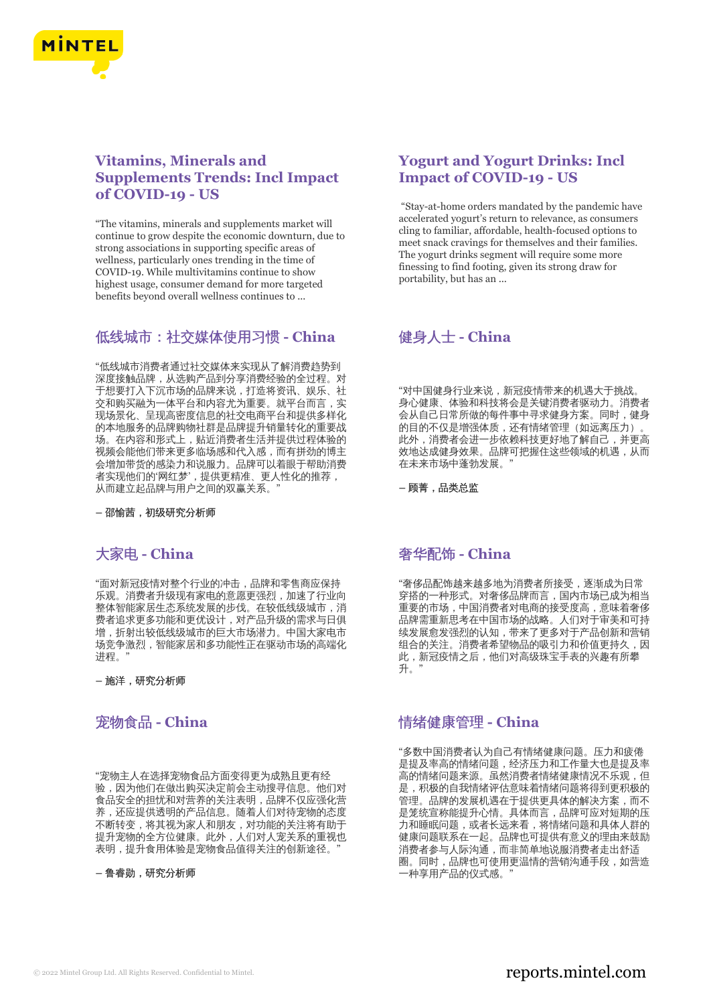

# **Vitamins, Minerals and Supplements Trends: Incl Impact of COVID-19 - US**

"The vitamins, minerals and supplements market will continue to grow despite the economic downturn, due to strong associations in supporting specific areas of wellness, particularly ones trending in the time of COVID-19. While multivitamins continue to show highest usage, consumer demand for more targeted benefits beyond overall wellness continues to ...

# 低线城市:社交媒体使用习惯 **- China**

"低线城市消费者通过社交媒体来实现从了解消费趋势到 深度接触品牌,从选购产品到分享消费经验的全过程。对 于想要打入下沉市场的品牌来说,打造将资讯、娱乐、社 交和购买融为一体平台和内容尤为重要。就平台而言,实 现场景化、呈现高密度信息的社交电商平台和提供多样化 的本地服务的品牌购物社群是品牌提升销量转化的重要战 场。在内容和形式上,贴近消费者生活并提供过程体验的 视频会能他们带来更多临场感和代入感,而有拼劲的博主 会增加带货的感染力和说服力。品牌可以着眼于帮助消费 者实现他们的'网红梦',提供更精准、更人性化的推荐, 从而建立起品牌与用户之间的双赢关系。"

**–** 邵愉茜,初级研究分析师

# 大家电 **- China**

"面对新冠疫情对整个行业的冲击,品牌和零售商应保持 乐观。消费者升级现有家电的意愿更强烈,加速了行业向 整体智能家居生态系统发展的步伐。在较低线级城市,消 费者追求更多功能和更优设计,对产品升级的需求与日俱 增,折射出较低线级城市的巨大市场潜力。中国大家电市 场竞争激烈,智能家居和多功能性正在驱动市场的高端化 进程。"

**–** 施洋,研究分析师

# 宠物食品 **- China**

"宠物主人在选择宠物食品方面变得更为成熟且更有经 验,因为他们在做出购买决定前会主动搜寻信息。他们对 食品安全的担忧和对营养的关注表明,品牌不仅应强化营 养,还应提供透明的产品信息。随着人们对待宠物的态度 不断转变,将其视为家人和朋友,对功能的关注将有助于 提升宠物的全方位健康。此外,人们对人宠关系的重视也 表明,提升食用体验是宠物食品值得关注的创新途径。

**–** 鲁睿勋,研究分析师

# **Yogurt and Yogurt Drinks: Incl Impact of COVID-19 - US**

"Stay-at-home orders mandated by the pandemic have accelerated yogurt's return to relevance, as consumers cling to familiar, affordable, health-focused options to meet snack cravings for themselves and their families. The yogurt drinks segment will require some more finessing to find footing, given its strong draw for portability, but has an ...

# 健身人士 **- China**

"对中国健身行业来说,新冠疫情带来的机遇大于挑战。 身心健康、体验和科技将会是关键消费者驱动力。消费者 会从自己日常所做的每件事中寻求健身方案。同时,健身 的目的不仅是增强体质,还有情绪管理(如远离压力) 此外,消费者会进一步依赖科技更好地了解自己,并更高 效地达成健身效果。品牌可把握住这些领域的机遇,从而 在未来市场中蓬勃发展。"

**–** 顾菁,品类总监

#### 奢华配饰 **- China**

"奢侈品配饰越来越多地为消费者所接受,逐渐成为日常 穿搭的一种形式。对奢侈品牌而言,国内市场已成为相当 重要的市场,中国消费者对电商的接受度高,意味着奢侈 品牌需重新思考在中国市场的战略。人们对于审美和可持 续发展愈发强烈的认知,带来了更多对于产品创新和营销 组合的关注。消费者希望物品的吸引力和价值更持久,因 此,新冠疫情之后,他们对高级珠宝手表的兴趣有所攀 升。

#### 情绪健康管理 **- China**

"多数中国消费者认为自己有情绪健康问题。压力和疲倦 是提及率高的情绪问题,经济压力和工作量大也是提及率 高的情绪问题来源。虽然消费者情绪健康情况不乐观,但 是,积极的自我情绪评估意味着情绪问题将得到更积极的 管理。品牌的发展机遇在于提供更具体的解决方案,而不 是笼统宣称能提升心情。具体而言,品牌可应对短期的压 力和睡眠问题,或者长远来看,将情绪问题和具体人群的 健康问题联系在一起。品牌也可提供有意义的理由来鼓励 消费者参与人际沟通,而非简单地说服消费者走出舒适 …………<br>圈。同时,品牌也可使用更温情的营销沟通手段,如营造 一种享用产品的仪式感。"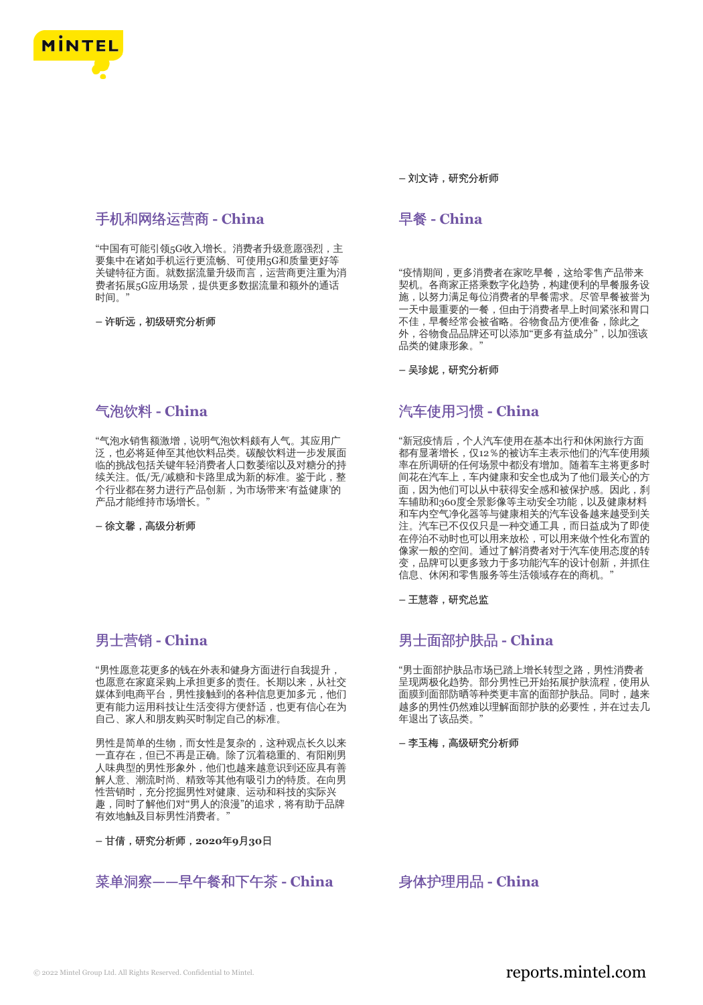

# 手机和网络运营商 **- China**

"中国有可能引领5G收入增长。消费者升级意愿强烈,主 要集中在诸如手机运行更流畅、可使用5G和质量更好等 关键特征方面。就数据流量升级而言,运营商更注重为消 费者拓展5G应用场景,提供更多数据流量和额外的通话 时间。"

**–** 许昕远,初级研究分析师

# 气泡饮料 **- China**

"气泡水销售额激增,说明气泡饮料颇有人气。其应用广 泛,也必将延伸至其他饮料品类。碳酸饮料进一步发展面 临的挑战包括关键年轻消费者人口数萎缩以及对糖分的持 续关注。低/无/减糖和卡路里成为新的标准。鉴于此,整 个行业都在努力进行产品创新,为市场带来'有益健康'的 产品才能维持市场增长。"

**–** 徐文馨,高级分析师

# 男士营销 **- China**

"男性愿意花更多的钱在外表和健身方面进行自我提升, 也愿意在家庭采购上承担更多的责任。长期以来,从社交 媒体到电商平台,男性接触到的各种信息更加多元,他们 更有能力运用科技让生活变得方便舒适,也更有信心在为 自己、家人和朋友购买时制定自己的标准。

男性是简单的生物,而女性是复杂的,这种观点长久以来 一直存在,但已不再是正确。除了沉着稳重的、有阳刚男 人味典型的男性形象外,他们也越来越意识到还应具有善 解人意、潮流时尚、精致等其他有吸引力的特质。在向男 性营销时,充分挖掘男性对健康、运动和科技的实际兴 趣,同时了解他们对"男人的浪漫"的追求,将有助于品牌 有效地触及目标男性消费者。"

**–** 甘倩,研究分析师,**2020**年**9**月**30**日

#### 菜单洞察**——**早午餐和下午茶 **- China** 身体护理用品 **- China**

**–** 刘文诗,研究分析师

# 早餐 **- China**

"疫情期间,更多消费者在家吃早餐,这给零售产品带来 契机。各商家正搭乘数字化趋势,构建便利的早餐服务设 施,以努力满足每位消费者的早餐需求。尽管早餐被誉为 一天中最重要的一餐,但由于消费者早上时间紧张和胃口 不佳,早餐经常会被省略。谷物食品方便准备,除此之 外,谷物食品品牌还可以添加"更多有益成分",以加强该 品类的健康形象。

**–** 吴珍妮,研究分析师

# 汽车使用习惯 **- China**

"新冠疫情后,个人汽车使用在基本出行和休闲旅行方面 都有显著增长,仅12%的被访车主表示他们的汽车使用频 率在所调研的任何场景中都没有增加。随着车主将更多时 间花在汽车上,车内健康和安全也成为了他们最关心的方 面,因为他们可以从中获得安全感和被保护感。因此,刹 车辅助和360度全景影像等主动安全功能,以及健康材料 和车内空气净化器等与健康相关的汽车设备越来越受到关 注。汽车已不仅仅只是一种交通工具,而日益成为了即使 在停泊不动时也可以用来放松,可以用来做个性化布置的 像家一般的空间。通过了解消费者对于汽车使用态度的转 变,品牌可以更多致力于多功能汽车的设计创新,并抓住 信息、休闲和零售服务等生活领域存在的商机。"

**–** 王慧蓉,研究总监

#### 男士面部护肤品 **- China**

"男士面部护肤品市场已踏上增长转型之路,男性消费者 呈现两极化趋势。部分男性已开始拓展护肤流程,使用从 面膜到面部防晒等种类更丰富的面部护肤品。同时,越来 越多的男性仍然难以理解面部护肤的必要性,并在过去几 年退出了该品类。"

**–** 李玉梅,高级研究分析师